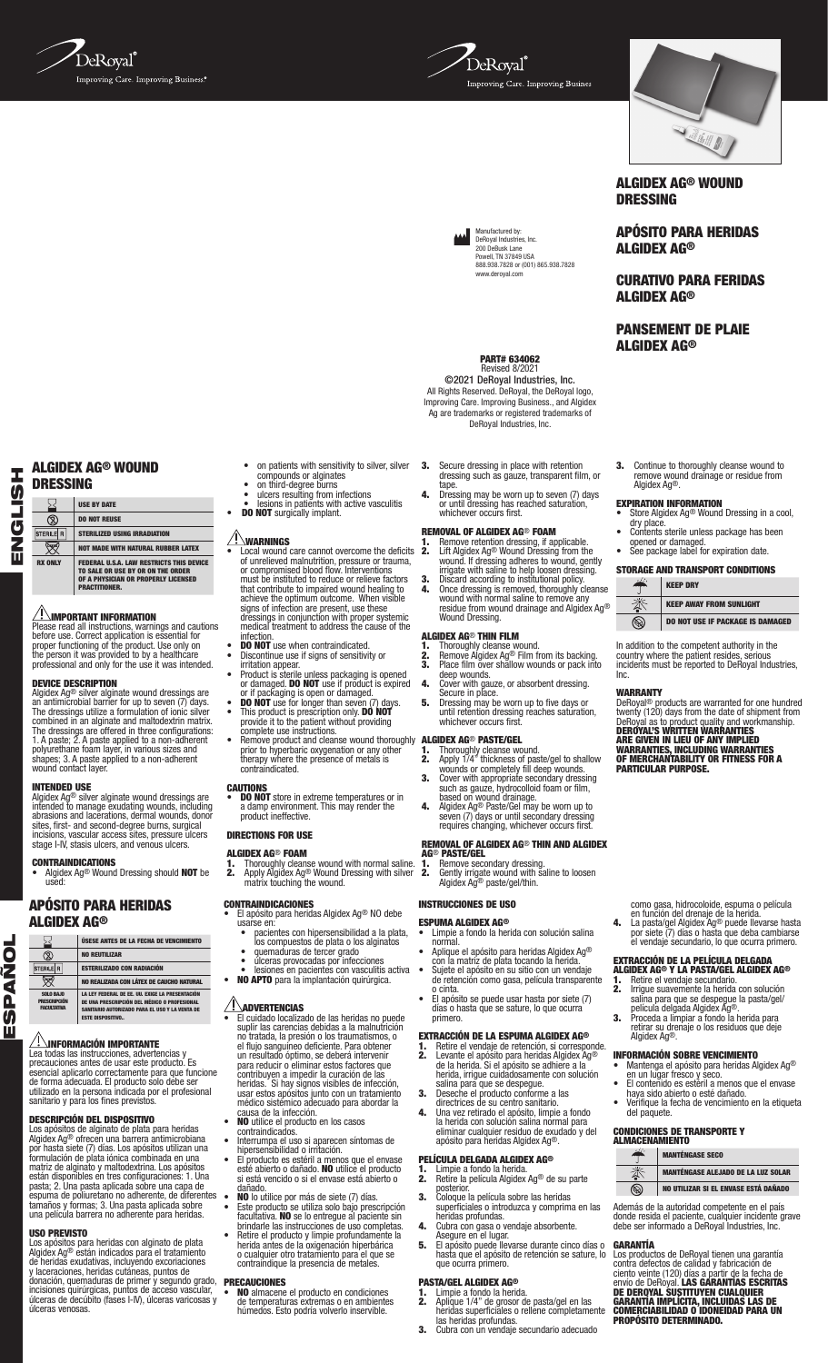



Manufactured by: DeRoyal Industries, Inc. 200 DeBusk Lane Powell, TN 37849 USA 888.938.7828 or (001) 865.938.7828

www.deroyal.com



ALGIDEX AG® WOUND DRESSING

APÓSITO PARA HERIDAS ALGIDEX AG®

CURATIVO PARA FERIDAS ALGIDEX AG®

PANSEMENT DE PLAIE ALGIDEX AG®

3. Continue to thoroughly cleanse wound to remove wound drainage or residue from Algidex Ag®.

### EXPIRATION INFORMATION

- **Store Algidex Ag<sup>®</sup> Wound Dressing in a cool,** dry place.<br>Contents sterile unless package has been
- opened or damaged.<br>See package label for expiration date.

### STORAGE AND TRANSPORT CONDITIONS  $\frac{1}{2}$ **KEEP DRY**

In addition to the competent authority in the country where the patient resides, serious incidents must be reported to DeRoyal Industries,

Inc.

▧

KEEP AWAY FROM SUNLIGHT DO NOT USE IF PACKAGE IS DAMAGED

**WARRANTY**<br>DeRoyal® products are warranted for one hundred<br>twenty (120) days from the date of shipment from<br>DeRoyal as to product quality and workmanship.<br>**DEROYAL'S WRITTEN WARRANTIES<br>WARRANTIES, INCLUDING WARRANTIES<br>OF M** 

como gasa, hidrocoloide, espuma o película en función del drenaje de la herida. 4. La pasta/gel Algidex Ag® puede llevarse hasta por siete (7) días o hasta que deba cambiarse el vendaje secundario, lo que ocurra primero.

EXTRACCIÓN DE LA PELÍCULA DELGADA ALGIDEX AG® Y LA PASTA/GEL ALGIDEX AG®

**1.** Retire el vendaje secundario.<br> **2.** Irrigue suavemente la herida con solución<br>
salina para que se despegue la pasta/gel/<br>
película delgada Algidex Ag®.<br> **3.** Proceda a limpiar a fondo la herida para<br>
retirar su drena

• Mantenga el apósito para heridas Algidex Ag® en un lugar fresco y seco. • El contenido es estéril a menos que el envase

haya sido abierto o esté dañado. • Verifique la fecha de vencimiento en la etiqueta del paquete.

Además de la autoridad competente en el país donde resida el paciente, cualquier incidente grave debe ser informado a DeRoyal Industries, Inc.

**GARANTIA**<br>Los productos de DeRoyal tienen una garantía<br>contra defectos de calidad y fabricación de<br>ciento veinte (120) días a partir de la fecha de<br>envío de DeRoyal. **LAS GARANTIAS ESCRITAS<br>DE DEROYAL SUSTITUYEN CUALQUIDE** 

PROPÓSITO DETERMINADO.

MANTÉNGASE ALEJADO DE LA LUZ SOLAR NO UTILIZAR SI EL ENVASE ESTÁ DAÑADO

INFORMACIÓN SOBRE VENCIMIENTO

CONDICIONES DE TRANSPORTE Y ALMACENAMIENTO MANTÉNGASE SECO

Algidex Ag®.

 $\circledR$ 

**1.** Remove retention dressing, if applicable.<br> **2.** Lift Algidex Ag® Wound Dressing from the wound, gently irrigate with saline to help loosen dressing.<br>
irrigate with saline to help loosen dressing.<br> **3.** Discard accord

3. Secure dressing in place with retention dressing such as gauze, transparent film, or

**PART# 634062**<br>Revised 8/2021 ©2021 DeRoyal Industries, Inc. All Rights Reserved. DeRoyal, the DeRoyal logo, Improving Care. Improving Business., and Algidex Ag are trademarks or registered trademarks of DeRoyal Industries, Inc.

tape. 4. Dressing may be worn up to seven (7) days or until dressing has reached saturation, whichever occurs first.

REMOVAL OF ALGIDEX AG® FOAM

### ALGIDEX AG® THIN FILM

- **1.** Thoroughly cleanse wound.<br>**2.** Remove Algidex Ag® Film from its backing.<br>**3.** Place film over shallow wounds or pack into deep wounds.
- 
- 4. Cover with gauze, or absorbent dressing.<br>
Secure in place.<br>
5. Dressing may be worn up to five days or<br>
until retention dressing reaches saturation,<br>
whichever occurs first.

### ALGIDEX AG® PASTE/GEL

- 1. Thoroughly cleanse wound.<br>
2. Apply 1/4" thickness of paste/gel to shallow<br>
wounds or completely fill deep wounds.<br>
3. Cover with appropriate secondary dressing<br>
such as gauze, hydrocolloid foam or film,
- 
- based on wound drainage.<br>4. Algidex Ag® Paste/Gel may be worn up to seven (7) days or until secondary dressing<br>requires changing, whichever occurs first.

### REMOVAL OF ALGIDEX AG® THIN AND ALGIDEX

- **AG® PASTE/GEL**<br>**1.** Remove secondary dressing.<br>**2.** Gently irrigate wound with saline to loosen
- Algidex Ag® paste/gel/thin. INSTRUCCIONES DE USO

- ESPUMA ALGIDEX AG® Limpie a fondo la herida con solución salina normal. • Aplique el apósito para heridas Algidex Ag®
- con la matriz de plata tocando la herida. Sujete el apósito en su sitio con un vendaje
- de retención como gasa, película transparente de retención como gasa, película transparei<br>o cinta.<br>El apósito se puede usar hasta por siete (7)
- días o hasta que se sature, lo que ocurra`<br>primero.

### EXTRACCIÓN DE LA ESPUMA ALGIDEX AG®

- **1.** Retire el vendaje de retención, si corresponde.<br>**2.** Levante el apósito para heridas Algidex Ag®
- 
- de la herida. Si el apósito se adhiere a la herida, irrique cuidadosamente con solución<br>salina para que se despegue.<br>3. Deseche el producto conforme a las<br>directrices de su centro sanitario.<br>4. Una vez retirado el apósito

### PELÍCULA DELGADA ALGIDEX AG®

- **1.** Limpie a fondo la herida.<br>**2.** Betire la película Algidex 2. Retire la película Algidex Ag® de su parte
- posterior.<br>Cologue la película sobre las heridas 3. Coloque la película sobre las heridas<br>superficiales o introduzca y comprima en las<br>heridas profundas.<br>4. Cubra con gasa o vendaje absorbente.<br>Asegure en el lugar.<br>5. El apósito puede llevarse durante cinco días o<br>hasta
- 
- 

### que ocurra primero. PASTA/GEL ALGIDEX AG®

- 1. Limpie a fondo la herida. 2. Aplique 1/4" de grosor de pasta/gel en las heridas superficiales o rellene completamente
	- - las heridas profundas. 3. Cubra con un vendaje secundario adecuado

# ALGIDEX AG® WOUND DRESSING

USE BY DATE

ENGLISH **SHIPS** 面

DO NOT REUSE  $\circledS$  $\boxed{\text{STERILE} | R}$ STERILIZED USING IRRADIATION  $\overline{\mathbb{Z}}$ NOT MADE WITH NATURAL RUBBER LATEX

RX ONLY FEDERAL U.S.A. LAW RESTRICTS THIS DEVICE<br>TO SALE OR USE BY OR ON THE ORDER<br>OF A PHYSICIAN OR PROPERLY LICENSED<br>PRACTITIONER.

### $^{\prime}!$  important information

Please read all instructions, warnings and cautions before use. Correct application is essential for proper functioning of the product. Use only on the person it was provided to by a healthcare professional and only for the use it was intended.

**DEVICE DESCRIPTION**<br>Algidex Ag<sup>6</sup> sliver alginate wound dressings are<br>an antimicrobial barrier for up to seven (7) days.<br>The dressings utilize a formulation of ionic silver<br>combined in an alginate and matholextin matrix.<br>

### INTENDED USE

Algidex Ag® silver alginate wound dressings are<br>intended to manage exudating wounds, including<br>abrasions and lacerations, dermal wounds, donor<br>sites, first- and second-degree burns, surgical<br>incisions, vascular access site

CONTRAINDICATIONS • Algidex Ag® Wound Dressing should NOT be used:

### APÓSITO PARA HERIDAS ALGIDEX AG®



utilizado en la persona indicada por el profesional sanitario y para los fines previstos.

tamaños y formas; 3. Una pasta aplicada sobre una película barrera no adherente para heridas.

**USO PREVISTO**<br>Los apósitos para heridas con alginato de plata<br>Algidex Ag® están indicados para el tratamiento<br>de heridas exudativas, incluyendo excoriaciones<br>y laceraciones, heridas cutáneas, puntos de<br>donación, quemadura

NO REALIZADA CON LÁTEX DE CAUCHO NATURAL LA LEY FEDERAL DE EE. UU. EXIGE LA PRESENTACIÓN DE UNA PRESCRIPCIÓN DEL MÉDICO O PROFESIONAL , negonitaron del medico o profes<br>IO AUTORIZADO PARA EL USO Y LA VEI

# INFORMACIÓN IMPORTANTE

# Lea todas las instrucciones, advertencias y precauciones antes de usar este producto. Es esencial aplicarlo correctamente para que funcione de forma adecuada. El producto solo debe ser

**DESCRIPCIÓN DEL DISPOSITIVO**<br>Los apósitos de alginato de plata para heridas<br>Algidex Ag® ofrecen una barrera antimicrobiana<br>por hasta siete (7) días. Los apósitos utilizan una<br>formulación de plata iónica combinada en una<br>m

• on patients with sensitivity to silver, silver

• on patients with sensultivity to silver, silve<br>compounds or alginates<br>• ulcers resulting from infections<br>• lesions in patients with active vasculitis<br>**DO NOT** surgically implant.

- 
- or damaged. **DO NOT** use if product is expired<br>
or of packaging is open or damaged.<br>  $\bullet$  **DO NOT** use for longer than seven  $(7)$  days.<br>  $\bullet$  This product is prescription only. **DO NOT**<br>
provide it to the patient without

### **CAUTIONS**

• DO NOT store in extreme temperatures or in a damp environment. This may render the product ineffective.

### DIRECTIONS FOR USE

### ALGIDEX AG® FOAM

**1.** Thoroughly cleanse wound with normal saline.<br>2. Apply Algidex Ag® Wound Dressing with silver matrix touching the wound.

- CONTRAINDICACIONES El apósito para heridas Algidex Ag® NO debe usarse en:
	- pacientes con hipersensibilidad a la plata,
	-
- **•** quemaduras de tercer grado<br>• diceras provocadas por infecciones<br>• lesiones en pacientes con vasculitis activa<br>**•** lesiones en pacientes con vasculitis activa<br> **NO APTO** para la implantación quirúrgica.
- 

- $\angle$ **:**  $\angle$ **ADVERTENCIAS**<br>
 El cuidado localizado de las heridas no puede<br>
suplir las carencias debidas a la malnutrición<br>
no tratada, la presión o los traumatismos, o<br>
el flujo sanguineo deficiente. Para obtener<br>
un re para reducir o eliminar estos factores que<br>contribuyen a impedir la curación de las<br>heridas. Si hay signos visibles de infección,<br>usar estos apósitos junto con un tratamiento<br>médico sistémico adecuado para abordar la<br>causa
- 
- contraindicados. Interrumpa el uso si aparecen síntomas de
- hipersensibilidad o irritación. El producto es estéril a menos que el envase esté abierto o dañado. NO utilice el producto si está vencido o si el envase está abierto o
- dañado.<br>
 **NO** lo utilice por más de siete (7) días.<br>
 Este producto se utiliza solo bajo prescripción<br>
facultativa. **NO** se lo entregue al paciente sin<br>
brindarle las instrucciones de uso completas.<br>
 Retire el produc

### PRECAUCIONES

• NO almacene el producto en condiciones de temperaturas extremas o en ambientes húmedos. Esto podría volverlo inservible.

- $\angle$  **! \WARNINGS**<br>• Local wound care cannot overcome the deficits<br>of unrelieved malnutrition, pressure or trauma, or compromised blood flow. Interventions<br>must be instituted to reduce or relieve factors<br>that contribute to impaired wound healing to<br>achieve the optimum outcome. When visible<br>signs of infection are present, use these<br>dres
- - infection.<br>**DO NOT** use when contraindicated.<br>Discontinue use if signs of sensitivity or
		- irritation appear.<br>• Product is sterile unless packaging is opened
		-
		-
		-